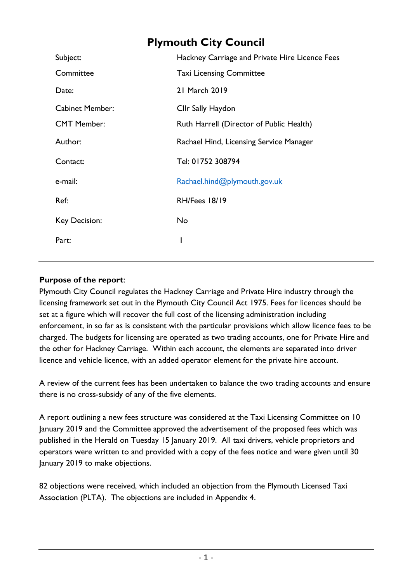# **Plymouth City Council**

| Subject:               | Hackney Carriage and Private Hire Licence Fees |
|------------------------|------------------------------------------------|
| Committee              | <b>Taxi Licensing Committee</b>                |
| Date:                  | 21 March 2019                                  |
| <b>Cabinet Member:</b> | Cllr Sally Haydon                              |
| <b>CMT Member:</b>     | Ruth Harrell (Director of Public Health)       |
| Author:                | Rachael Hind, Licensing Service Manager        |
| Contact:               | Tel: 01752 308794                              |
| e-mail:                | Rachael.hind@plymouth.gov.uk                   |
| Ref:                   | RH/Fees 18/19                                  |
| Key Decision:          | <b>No</b>                                      |
| Part:                  |                                                |

# **Purpose of the report**:

Plymouth City Council regulates the Hackney Carriage and Private Hire industry through the licensing framework set out in the Plymouth City Council Act 1975. Fees for licences should be set at a figure which will recover the full cost of the licensing administration including enforcement, in so far as is consistent with the particular provisions which allow licence fees to be charged. The budgets for licensing are operated as two trading accounts, one for Private Hire and the other for Hackney Carriage. Within each account, the elements are separated into driver licence and vehicle licence, with an added operator element for the private hire account.

A review of the current fees has been undertaken to balance the two trading accounts and ensure there is no cross-subsidy of any of the five elements.

A report outlining a new fees structure was considered at the Taxi Licensing Committee on 10 January 2019 and the Committee approved the advertisement of the proposed fees which was published in the Herald on Tuesday 15 January 2019. All taxi drivers, vehicle proprietors and operators were written to and provided with a copy of the fees notice and were given until 30 January 2019 to make objections.

82 objections were received, which included an objection from the Plymouth Licensed Taxi Association (PLTA). The objections are included in Appendix 4.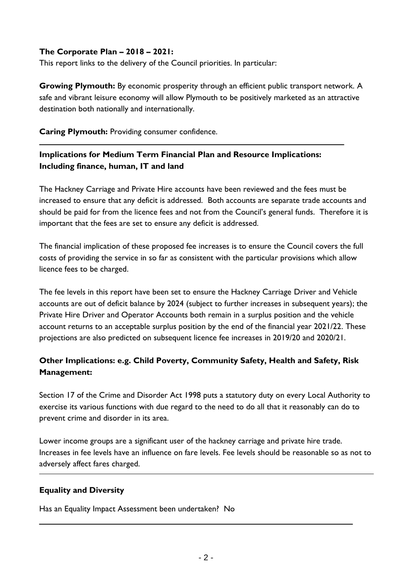## **The Corporate Plan – 2018 – 2021:**

This report links to the delivery of the Council priorities. In particular:

**Growing Plymouth:** By economic prosperity through an efficient public transport network. A safe and vibrant leisure economy will allow Plymouth to be positively marketed as an attractive destination both nationally and internationally.

**Caring Plymouth:** Providing consumer confidence.

# **Implications for Medium Term Financial Plan and Resource Implications: Including finance, human, IT and land**

The Hackney Carriage and Private Hire accounts have been reviewed and the fees must be increased to ensure that any deficit is addressed. Both accounts are separate trade accounts and should be paid for from the licence fees and not from the Council's general funds. Therefore it is important that the fees are set to ensure any deficit is addressed.

The financial implication of these proposed fee increases is to ensure the Council covers the full costs of providing the service in so far as consistent with the particular provisions which allow licence fees to be charged.

The fee levels in this report have been set to ensure the Hackney Carriage Driver and Vehicle accounts are out of deficit balance by 2024 (subject to further increases in subsequent years); the Private Hire Driver and Operator Accounts both remain in a surplus position and the vehicle account returns to an acceptable surplus position by the end of the financial year 2021/22. These projections are also predicted on subsequent licence fee increases in 2019/20 and 2020/21.

# **Other Implications: e.g. Child Poverty, Community Safety, Health and Safety, Risk Management:**

Section 17 of the Crime and Disorder Act 1998 puts a statutory duty on every Local Authority to exercise its various functions with due regard to the need to do all that it reasonably can do to prevent crime and disorder in its area.

Lower income groups are a significant user of the hackney carriage and private hire trade. Increases in fee levels have an influence on fare levels. Fee levels should be reasonable so as not to adversely affect fares charged.

## **Equality and Diversity**

Has an Equality Impact Assessment been undertaken? No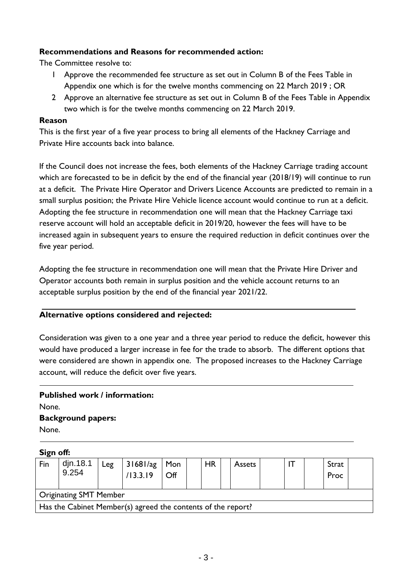## **Recommendations and Reasons for recommended action:**

The Committee resolve to:

- 1 Approve the recommended fee structure as set out in Column B of the Fees Table in Appendix one which is for the twelve months commencing on 22 March 2019 ; OR
- 2 Approve an alternative fee structure as set out in Column B of the Fees Table in Appendix two which is for the twelve months commencing on 22 March 2019.

#### **Reason**

This is the first year of a five year process to bring all elements of the Hackney Carriage and Private Hire accounts back into balance.

If the Council does not increase the fees, both elements of the Hackney Carriage trading account which are forecasted to be in deficit by the end of the financial year (2018/19) will continue to run at a deficit. The Private Hire Operator and Drivers Licence Accounts are predicted to remain in a small surplus position; the Private Hire Vehicle licence account would continue to run at a deficit. Adopting the fee structure in recommendation one will mean that the Hackney Carriage taxi reserve account will hold an acceptable deficit in 2019/20, however the fees will have to be increased again in subsequent years to ensure the required reduction in deficit continues over the five year period.

Adopting the fee structure in recommendation one will mean that the Private Hire Driver and Operator accounts both remain in surplus position and the vehicle account returns to an acceptable surplus position by the end of the financial year 2021/22.

#### **Alternative options considered and rejected:**

Consideration was given to a one year and a three year period to reduce the deficit, however this would have produced a larger increase in fee for the trade to absorb. The different options that were considered are shown in appendix one. The proposed increases to the Hackney Carriage account, will reduce the deficit over five years.

# **Published work / information:** None. **Background papers:**

None.

#### **Sign off:**

| Fin | djn.18.1<br>9.254                                            | Leg | 31681/ag<br>/13.3.19 | Mon<br>$\mathsf{Off}$ |  | <b>HR</b> |  | <b>Assets</b> |  | Strat<br>Proc |  |
|-----|--------------------------------------------------------------|-----|----------------------|-----------------------|--|-----------|--|---------------|--|---------------|--|
|     | <b>Originating SMT Member</b>                                |     |                      |                       |  |           |  |               |  |               |  |
|     | Has the Cabinet Member(s) agreed the contents of the report? |     |                      |                       |  |           |  |               |  |               |  |
|     |                                                              |     |                      |                       |  |           |  |               |  |               |  |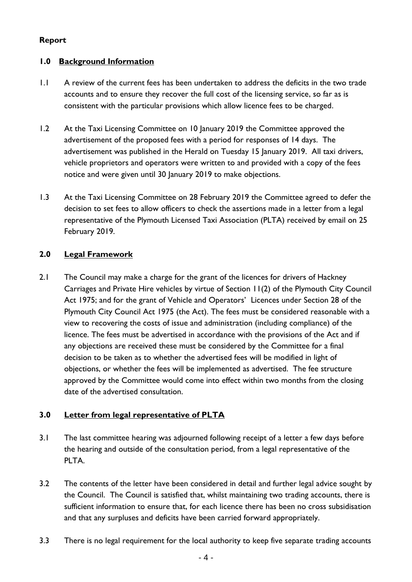## **Report**

## **1.0 Background Information**

- 1.1 A review of the current fees has been undertaken to address the deficits in the two trade accounts and to ensure they recover the full cost of the licensing service, so far as is consistent with the particular provisions which allow licence fees to be charged.
- 1.2 At the Taxi Licensing Committee on 10 January 2019 the Committee approved the advertisement of the proposed fees with a period for responses of 14 days. The advertisement was published in the Herald on Tuesday 15 January 2019. All taxi drivers, vehicle proprietors and operators were written to and provided with a copy of the fees notice and were given until 30 January 2019 to make objections.
- 1.3 At the Taxi Licensing Committee on 28 February 2019 the Committee agreed to defer the decision to set fees to allow officers to check the assertions made in a letter from a legal representative of the Plymouth Licensed Taxi Association (PLTA) received by email on 25 February 2019.

## **2.0 Legal Framework**

2.1 The Council may make a charge for the grant of the licences for drivers of Hackney Carriages and Private Hire vehicles by virtue of Section 11(2) of the Plymouth City Council Act 1975; and for the grant of Vehicle and Operators' Licences under Section 28 of the Plymouth City Council Act 1975 (the Act). The fees must be considered reasonable with a view to recovering the costs of issue and administration (including compliance) of the licence. The fees must be advertised in accordance with the provisions of the Act and if any objections are received these must be considered by the Committee for a final decision to be taken as to whether the advertised fees will be modified in light of objections, or whether the fees will be implemented as advertised. The fee structure approved by the Committee would come into effect within two months from the closing date of the advertised consultation.

## **3.0 Letter from legal representative of PLTA**

- 3.1 The last committee hearing was adjourned following receipt of a letter a few days before the hearing and outside of the consultation period, from a legal representative of the PLTA.
- 3.2 The contents of the letter have been considered in detail and further legal advice sought by the Council. The Council is satisfied that, whilst maintaining two trading accounts, there is sufficient information to ensure that, for each licence there has been no cross subsidisation and that any surpluses and deficits have been carried forward appropriately.
- 3.3 There is no legal requirement for the local authority to keep five separate trading accounts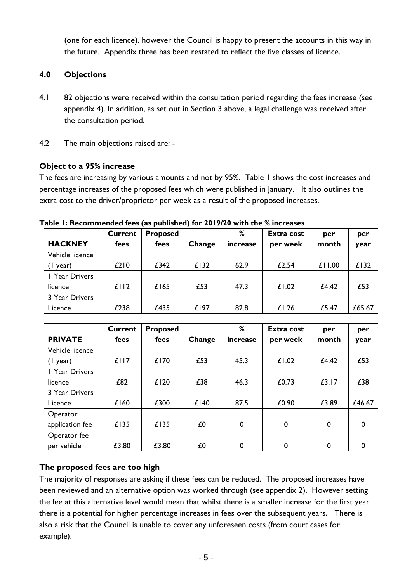(one for each licence), however the Council is happy to present the accounts in this way in the future. Appendix three has been restated to reflect the five classes of licence.

## **4.0 Objections**

- 4.1 82 objections were received within the consultation period regarding the fees increase (see appendix 4). In addition, as set out in Section 3 above, a legal challenge was received after the consultation period.
- 4.2 The main objections raised are: -

# **Object to a 95% increase**

The fees are increasing by various amounts and not by 95%. Table 1 shows the cost increases and percentage increases of the proposed fees which were published in January. It also outlines the extra cost to the driver/proprietor per week as a result of the proposed increases.

|                 | <b>Current</b> | <b>Proposed</b> |        | %        | <b>Extra cost</b> | per    | per    |
|-----------------|----------------|-----------------|--------|----------|-------------------|--------|--------|
| <b>HACKNEY</b>  | fees           | fees            | Change | increase | per week          | month  | year   |
| Vehicle licence |                |                 |        |          |                   |        |        |
| year)           | £210           | £342            | £132   | 62.9     | £2.54             | £11.00 | £132   |
| I Year Drivers  |                |                 |        |          |                   |        |        |
| licence         | £112           | £165            | £53    | 47.3     | £1.02             | £4.42  | £53    |
| 3 Year Drivers  |                |                 |        |          |                   |        |        |
| Licence         | £238           | £435            | £197   | 82.8     | £1.26             | £5.47  | £65.67 |

**Table 1: Recommended fees (as published) for 2019/20 with the % increases**

|                 | Current | <b>Proposed</b> |        | %        | <b>Extra cost</b> | per   | per    |
|-----------------|---------|-----------------|--------|----------|-------------------|-------|--------|
| <b>PRIVATE</b>  | fees    | fees            | Change | increase | per week          | month | year   |
| Vehicle licence |         |                 |        |          |                   |       |        |
| (1 year)        | £117    | £170            | £53    | 45.3     | £1.02             | £4.42 | £53    |
| I Year Drivers  |         |                 |        |          |                   |       |        |
| licence         | £82     | £120            | £38    | 46.3     | £0.73             | £3.17 | £38    |
| 3 Year Drivers  |         |                 |        |          |                   |       |        |
| Licence         | £160    | £300            | £140   | 87.5     | £0.90             | £3.89 | £46.67 |
| Operator        |         |                 |        |          |                   |       |        |
| application fee | £135    | £135            | £0     | 0        | 0                 | 0     | 0      |
| Operator fee    |         |                 |        |          |                   |       |        |
| per vehicle     | £3.80   | £3.80           | £0     | 0        | 0                 | 0     | 0      |

# **The proposed fees are too high**

The majority of responses are asking if these fees can be reduced. The proposed increases have been reviewed and an alternative option was worked through (see appendix 2). However setting the fee at this alternative level would mean that whilst there is a smaller increase for the first year there is a potential for higher percentage increases in fees over the subsequent years. There is also a risk that the Council is unable to cover any unforeseen costs (from court cases for example).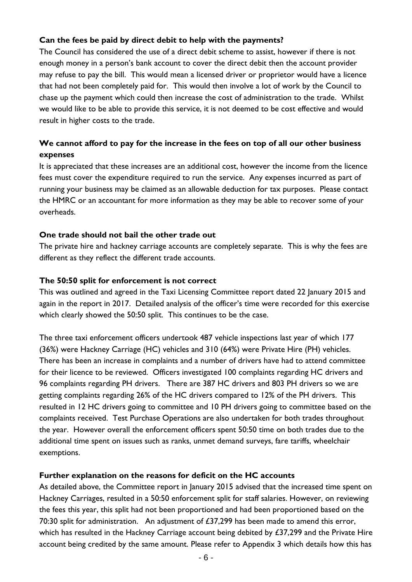## **Can the fees be paid by direct debit to help with the payments?**

The Council has considered the use of a direct debit scheme to assist, however if there is not enough money in a person's bank account to cover the direct debit then the account provider may refuse to pay the bill. This would mean a licensed driver or proprietor would have a licence that had not been completely paid for. This would then involve a lot of work by the Council to chase up the payment which could then increase the cost of administration to the trade. Whilst we would like to be able to provide this service, it is not deemed to be cost effective and would result in higher costs to the trade.

# **We cannot afford to pay for the increase in the fees on top of all our other business expenses**

It is appreciated that these increases are an additional cost, however the income from the licence fees must cover the expenditure required to run the service. Any expenses incurred as part of running your business may be claimed as an allowable deduction for tax purposes. Please contact the HMRC or an accountant for more information as they may be able to recover some of your overheads.

#### **One trade should not bail the other trade out**

The private hire and hackney carriage accounts are completely separate. This is why the fees are different as they reflect the different trade accounts.

#### **The 50:50 split for enforcement is not correct**

This was outlined and agreed in the Taxi Licensing Committee report dated 22 January 2015 and again in the report in 2017. Detailed analysis of the officer's time were recorded for this exercise which clearly showed the 50:50 split. This continues to be the case.

The three taxi enforcement officers undertook 487 vehicle inspections last year of which 177 (36%) were Hackney Carriage (HC) vehicles and 310 (64%) were Private Hire (PH) vehicles. There has been an increase in complaints and a number of drivers have had to attend committee for their licence to be reviewed. Officers investigated 100 complaints regarding HC drivers and 96 complaints regarding PH drivers. There are 387 HC drivers and 803 PH drivers so we are getting complaints regarding 26% of the HC drivers compared to 12% of the PH drivers. This resulted in 12 HC drivers going to committee and 10 PH drivers going to committee based on the complaints received. Test Purchase Operations are also undertaken for both trades throughout the year. However overall the enforcement officers spent 50:50 time on both trades due to the additional time spent on issues such as ranks, unmet demand surveys, fare tariffs, wheelchair exemptions.

#### **Further explanation on the reasons for deficit on the HC accounts**

As detailed above, the Committee report in January 2015 advised that the increased time spent on Hackney Carriages, resulted in a 50:50 enforcement split for staff salaries. However, on reviewing the fees this year, this split had not been proportioned and had been proportioned based on the 70:30 split for administration. An adjustment of £37,299 has been made to amend this error, which has resulted in the Hackney Carriage account being debited by £37,299 and the Private Hire account being credited by the same amount. Please refer to Appendix 3 which details how this has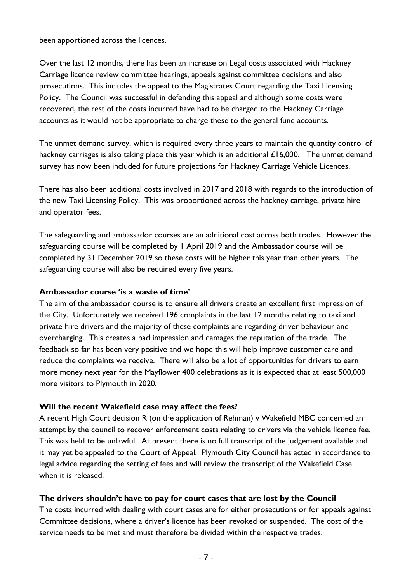been apportioned across the licences.

Over the last 12 months, there has been an increase on Legal costs associated with Hackney Carriage licence review committee hearings, appeals against committee decisions and also prosecutions. This includes the appeal to the Magistrates Court regarding the Taxi Licensing Policy. The Council was successful in defending this appeal and although some costs were recovered, the rest of the costs incurred have had to be charged to the Hackney Carriage accounts as it would not be appropriate to charge these to the general fund accounts.

The unmet demand survey, which is required every three years to maintain the quantity control of hackney carriages is also taking place this year which is an additional £16,000. The unmet demand survey has now been included for future projections for Hackney Carriage Vehicle Licences.

There has also been additional costs involved in 2017 and 2018 with regards to the introduction of the new Taxi Licensing Policy. This was proportioned across the hackney carriage, private hire and operator fees.

The safeguarding and ambassador courses are an additional cost across both trades. However the safeguarding course will be completed by 1 April 2019 and the Ambassador course will be completed by 31 December 2019 so these costs will be higher this year than other years. The safeguarding course will also be required every five years.

#### **Ambassador course 'is a waste of time'**

The aim of the ambassador course is to ensure all drivers create an excellent first impression of the City. Unfortunately we received 196 complaints in the last 12 months relating to taxi and private hire drivers and the majority of these complaints are regarding driver behaviour and overcharging. This creates a bad impression and damages the reputation of the trade. The feedback so far has been very positive and we hope this will help improve customer care and reduce the complaints we receive. There will also be a lot of opportunities for drivers to earn more money next year for the Mayflower 400 celebrations as it is expected that at least 500,000 more visitors to Plymouth in 2020.

#### **Will the recent Wakefield case may affect the fees?**

A recent High Court decision R (on the application of Rehman) v Wakefield MBC concerned an attempt by the council to recover enforcement costs relating to drivers via the vehicle licence fee. This was held to be unlawful. At present there is no full transcript of the judgement available and it may yet be appealed to the Court of Appeal. Plymouth City Council has acted in accordance to legal advice regarding the setting of fees and will review the transcript of the Wakefield Case when it is released.

#### **The drivers shouldn't have to pay for court cases that are lost by the Council**

The costs incurred with dealing with court cases are for either prosecutions or for appeals against Committee decisions, where a driver's licence has been revoked or suspended. The cost of the service needs to be met and must therefore be divided within the respective trades.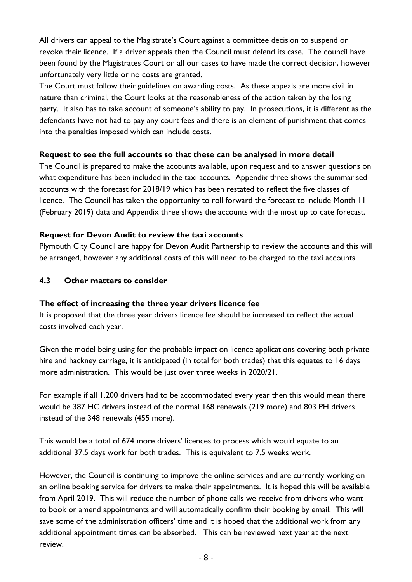All drivers can appeal to the Magistrate's Court against a committee decision to suspend or revoke their licence. If a driver appeals then the Council must defend its case. The council have been found by the Magistrates Court on all our cases to have made the correct decision, however unfortunately very little or no costs are granted.

The Court must follow their guidelines on awarding costs. As these appeals are more civil in nature than criminal, the Court looks at the reasonableness of the action taken by the losing party. It also has to take account of someone's ability to pay. In prosecutions, it is different as the defendants have not had to pay any court fees and there is an element of punishment that comes into the penalties imposed which can include costs.

## **Request to see the full accounts so that these can be analysed in more detail**

The Council is prepared to make the accounts available, upon request and to answer questions on what expenditure has been included in the taxi accounts. Appendix three shows the summarised accounts with the forecast for 2018/19 which has been restated to reflect the five classes of licence. The Council has taken the opportunity to roll forward the forecast to include Month 11 (February 2019) data and Appendix three shows the accounts with the most up to date forecast.

## **Request for Devon Audit to review the taxi accounts**

Plymouth City Council are happy for Devon Audit Partnership to review the accounts and this will be arranged, however any additional costs of this will need to be charged to the taxi accounts.

## **4.3 Other matters to consider**

#### **The effect of increasing the three year drivers licence fee**

It is proposed that the three year drivers licence fee should be increased to reflect the actual costs involved each year.

Given the model being using for the probable impact on licence applications covering both private hire and hackney carriage, it is anticipated (in total for both trades) that this equates to 16 days more administration. This would be just over three weeks in 2020/21.

For example if all 1,200 drivers had to be accommodated every year then this would mean there would be 387 HC drivers instead of the normal 168 renewals (219 more) and 803 PH drivers instead of the 348 renewals (455 more).

This would be a total of 674 more drivers' licences to process which would equate to an additional 37.5 days work for both trades. This is equivalent to 7.5 weeks work.

However, the Council is continuing to improve the online services and are currently working on an online booking service for drivers to make their appointments. It is hoped this will be available from April 2019. This will reduce the number of phone calls we receive from drivers who want to book or amend appointments and will automatically confirm their booking by email. This will save some of the administration officers' time and it is hoped that the additional work from any additional appointment times can be absorbed. This can be reviewed next year at the next review.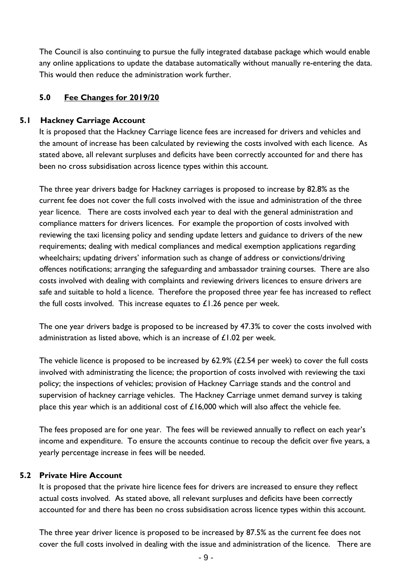The Council is also continuing to pursue the fully integrated database package which would enable any online applications to update the database automatically without manually re-entering the data. This would then reduce the administration work further.

## **5.0 Fee Changes for 2019/20**

## **5.1 Hackney Carriage Account**

It is proposed that the Hackney Carriage licence fees are increased for drivers and vehicles and the amount of increase has been calculated by reviewing the costs involved with each licence. As stated above, all relevant surpluses and deficits have been correctly accounted for and there has been no cross subsidisation across licence types within this account.

The three year drivers badge for Hackney carriages is proposed to increase by 82.8% as the current fee does not cover the full costs involved with the issue and administration of the three year licence. There are costs involved each year to deal with the general administration and compliance matters for drivers licences. For example the proportion of costs involved with reviewing the taxi licensing policy and sending update letters and guidance to drivers of the new requirements; dealing with medical compliances and medical exemption applications regarding wheelchairs; updating drivers' information such as change of address or convictions/driving offences notifications; arranging the safeguarding and ambassador training courses. There are also costs involved with dealing with complaints and reviewing drivers licences to ensure drivers are safe and suitable to hold a licence. Therefore the proposed three year fee has increased to reflect the full costs involved. This increase equates to  $£1.26$  pence per week.

The one year drivers badge is proposed to be increased by 47.3% to cover the costs involved with administration as listed above, which is an increase of £1.02 per week.

The vehicle licence is proposed to be increased by 62.9% (£2.54 per week) to cover the full costs involved with administrating the licence; the proportion of costs involved with reviewing the taxi policy; the inspections of vehicles; provision of Hackney Carriage stands and the control and supervision of hackney carriage vehicles. The Hackney Carriage unmet demand survey is taking place this year which is an additional cost of £16,000 which will also affect the vehicle fee.

The fees proposed are for one year. The fees will be reviewed annually to reflect on each year's income and expenditure. To ensure the accounts continue to recoup the deficit over five years, a yearly percentage increase in fees will be needed.

#### **5.2 Private Hire Account**

It is proposed that the private hire licence fees for drivers are increased to ensure they reflect actual costs involved. As stated above, all relevant surpluses and deficits have been correctly accounted for and there has been no cross subsidisation across licence types within this account.

The three year driver licence is proposed to be increased by 87.5% as the current fee does not cover the full costs involved in dealing with the issue and administration of the licence. There are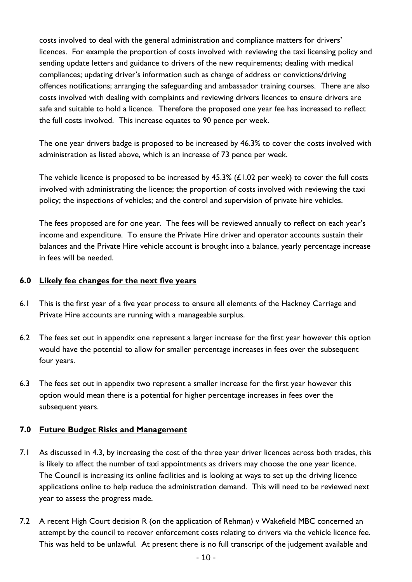costs involved to deal with the general administration and compliance matters for drivers' licences. For example the proportion of costs involved with reviewing the taxi licensing policy and sending update letters and guidance to drivers of the new requirements; dealing with medical compliances; updating driver's information such as change of address or convictions/driving offences notifications; arranging the safeguarding and ambassador training courses. There are also costs involved with dealing with complaints and reviewing drivers licences to ensure drivers are safe and suitable to hold a licence. Therefore the proposed one year fee has increased to reflect the full costs involved. This increase equates to 90 pence per week.

The one year drivers badge is proposed to be increased by 46.3% to cover the costs involved with administration as listed above, which is an increase of 73 pence per week.

The vehicle licence is proposed to be increased by 45.3% (£1.02 per week) to cover the full costs involved with administrating the licence; the proportion of costs involved with reviewing the taxi policy; the inspections of vehicles; and the control and supervision of private hire vehicles.

The fees proposed are for one year. The fees will be reviewed annually to reflect on each year's income and expenditure. To ensure the Private Hire driver and operator accounts sustain their balances and the Private Hire vehicle account is brought into a balance, yearly percentage increase in fees will be needed.

#### **6.0 Likely fee changes for the next five years**

- 6.1 This is the first year of a five year process to ensure all elements of the Hackney Carriage and Private Hire accounts are running with a manageable surplus.
- 6.2 The fees set out in appendix one represent a larger increase for the first year however this option would have the potential to allow for smaller percentage increases in fees over the subsequent four years.
- 6.3 The fees set out in appendix two represent a smaller increase for the first year however this option would mean there is a potential for higher percentage increases in fees over the subsequent years.

#### **7.0 Future Budget Risks and Management**

- 7.1 As discussed in 4.3, by increasing the cost of the three year driver licences across both trades, this is likely to affect the number of taxi appointments as drivers may choose the one year licence. The Council is increasing its online facilities and is looking at ways to set up the driving licence applications online to help reduce the administration demand. This will need to be reviewed next year to assess the progress made.
- 7.2 A recent High Court decision R (on the application of Rehman) v Wakefield MBC concerned an attempt by the council to recover enforcement costs relating to drivers via the vehicle licence fee. This was held to be unlawful. At present there is no full transcript of the judgement available and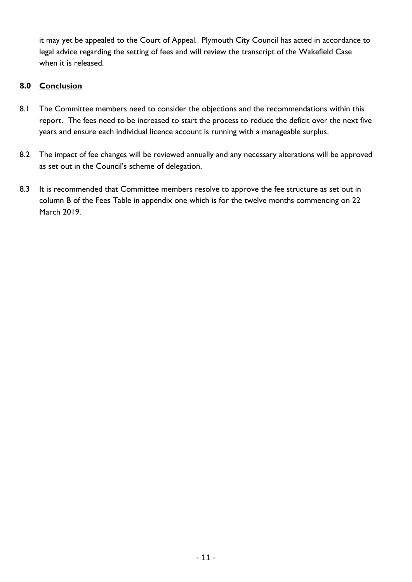it may yet be appealed to the Court of Appeal. Plymouth City Council has acted in accordance to legal advice regarding the setting of fees and will review the transcript of the Wakefield Case when it is released.

# **8.0 Conclusion**

- 8.1 The Committee members need to consider the objections and the recommendations within this report. The fees need to be increased to start the process to reduce the deficit over the next five years and ensure each individual licence account is running with a manageable surplus.
- 8.2 The impact of fee changes will be reviewed annually and any necessary alterations will be approved as set out in the Council's scheme of delegation.
- 8.3 It is recommended that Committee members resolve to approve the fee structure as set out in column B of the Fees Table in appendix one which is for the twelve months commencing on 22 March 2019.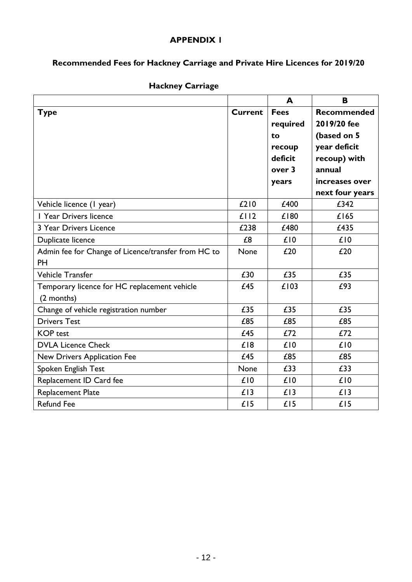#### **APPENDIX 1**

# **Recommended Fees for Hackney Carriage and Private Hire Licences for 2019/20**

|                                                     |                | A           | B                  |
|-----------------------------------------------------|----------------|-------------|--------------------|
| <b>Type</b>                                         | <b>Current</b> | <b>Fees</b> | <b>Recommended</b> |
|                                                     |                | required    | 2019/20 fee        |
|                                                     |                | to          | (based on 5        |
|                                                     |                | recoup      | year deficit       |
|                                                     |                | deficit     | recoup) with       |
|                                                     |                | over 3      | annual             |
|                                                     |                | years       | increases over     |
|                                                     |                |             | next four years    |
| Vehicle licence (I year)                            | £210           | £400        | £342               |
| I Year Drivers licence                              | £112           | £180        | £165               |
| 3 Year Drivers Licence                              | £238           | £480        | £435               |
| Duplicate licence                                   | £8             | £10         | £10                |
| Admin fee for Change of Licence/transfer from HC to | <b>None</b>    | £20         | £20                |
| <b>PH</b>                                           |                |             |                    |
| Vehicle Transfer                                    | £30            | £35         | £35                |
| Temporary licence for HC replacement vehicle        | £45            | £103        | £93                |
| (2 months)                                          |                |             |                    |
| Change of vehicle registration number               | £35            | £35         | £35                |
| <b>Drivers Test</b>                                 | £85            | £85         | £85                |
| <b>KOP</b> test                                     | £45            | £72         | £72                |
| <b>DVLA Licence Check</b>                           | £18            | £10         | £10                |
| New Drivers Application Fee                         | £45            | £85         | £85                |
| Spoken English Test                                 | None           | £33         | £33                |
| Replacement ID Card fee                             | £10            | £10         | £10                |
| Replacement Plate                                   | £13            | £13         | £13                |
| <b>Refund Fee</b>                                   | £15            | £15         | £15                |

# **Hackney Carriage**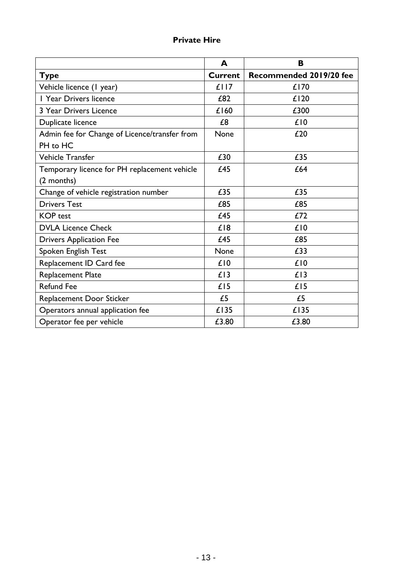# **Private Hire**

|                                               | A              | В                       |
|-----------------------------------------------|----------------|-------------------------|
| <b>Type</b>                                   | <b>Current</b> | Recommended 2019/20 fee |
| Vehicle licence (I year)                      | £117           | £170                    |
| I Year Drivers licence                        | £82            | £120                    |
| 3 Year Drivers Licence                        | £160           | £300                    |
| Duplicate licence                             | £8             | £10                     |
| Admin fee for Change of Licence/transfer from | None           | £20                     |
| PH to HC                                      |                |                         |
| <b>Vehicle Transfer</b>                       | £30            | £35                     |
| Temporary licence for PH replacement vehicle  | £45            | £64                     |
| (2 months)                                    |                |                         |
| Change of vehicle registration number         | £35            | £35                     |
| <b>Drivers Test</b>                           | £85            | £85                     |
| <b>KOP</b> test                               | £45            | £72                     |
| <b>DVLA Licence Check</b>                     | £18            | £10                     |
| <b>Drivers Application Fee</b>                | £45            | £85                     |
| Spoken English Test                           | None           | £33                     |
| Replacement ID Card fee                       | £10            | £10                     |
| <b>Replacement Plate</b>                      | £13            | £13                     |
| <b>Refund Fee</b>                             | £15            | £15                     |
| <b>Replacement Door Sticker</b>               | £5             | £5                      |
| Operators annual application fee              | £135           | £135                    |
| Operator fee per vehicle                      | £3.80          | £3.80                   |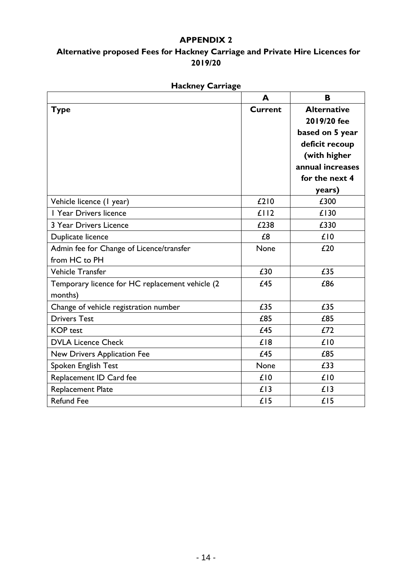## **APPENDIX 2**

# **Alternative proposed Fees for Hackney Carriage and Private Hire Licences for 2019/20**

|                                                 | A              | B                  |
|-------------------------------------------------|----------------|--------------------|
| <b>Type</b>                                     | <b>Current</b> | <b>Alternative</b> |
|                                                 |                | 2019/20 fee        |
|                                                 |                | based on 5 year    |
|                                                 |                | deficit recoup     |
|                                                 |                | (with higher       |
|                                                 |                | annual increases   |
|                                                 |                | for the next 4     |
|                                                 |                | years)             |
| Vehicle licence (1 year)                        | £210           | £300               |
| I Year Drivers licence                          | £112           | £130               |
| 3 Year Drivers Licence                          | £238           | £330               |
| Duplicate licence                               | £8             | £10                |
| Admin fee for Change of Licence/transfer        | None           | £20                |
| from HC to PH                                   |                |                    |
| <b>Vehicle Transfer</b>                         | £30            | £35                |
| Temporary licence for HC replacement vehicle (2 | £45            | £86                |
| months)                                         |                |                    |
| Change of vehicle registration number           | £35            | £35                |
| <b>Drivers Test</b>                             | £85            | £85                |
| <b>KOP</b> test                                 | £45            | £72                |
| <b>DVLA Licence Check</b>                       | £18            | £10                |
| New Drivers Application Fee                     | £45            | £85                |
| Spoken English Test                             | None           | £33                |
| Replacement ID Card fee                         | £10            | £10                |
| <b>Replacement Plate</b>                        | £13            | £13                |
| <b>Refund Fee</b>                               | £15            | £15                |

# **Hackney Carriage**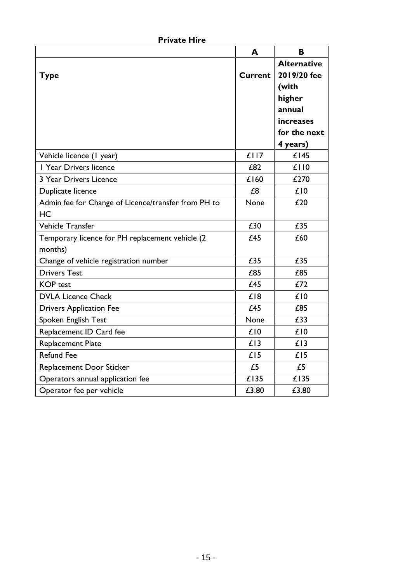| <b>Private Hire</b> |  |
|---------------------|--|
|                     |  |

|                                                     | A       | B                  |
|-----------------------------------------------------|---------|--------------------|
|                                                     |         | <b>Alternative</b> |
| <b>Type</b>                                         | Current | 2019/20 fee        |
|                                                     |         | (with              |
|                                                     |         | higher             |
|                                                     |         | annual             |
|                                                     |         | increases          |
|                                                     |         | for the next       |
|                                                     |         | 4 years)           |
| Vehicle licence (1 year)                            | £117    | £145               |
| I Year Drivers licence                              | £82     | £110               |
| 3 Year Drivers Licence                              | £160    | £270               |
| Duplicate licence                                   | £8      | £10                |
| Admin fee for Change of Licence/transfer from PH to | None    | £20                |
| HC                                                  |         |                    |
| Vehicle Transfer                                    | £30     | £35                |
| Temporary licence for PH replacement vehicle (2     | £45     | £60                |
| months)                                             |         |                    |
| Change of vehicle registration number               | £35     | £35                |
| <b>Drivers Test</b>                                 | £85     | £85                |
| <b>KOP</b> test                                     | £45     | £72                |
| <b>DVLA Licence Check</b>                           | £18     | £10                |
| <b>Drivers Application Fee</b>                      | £45     | £85                |
| Spoken English Test                                 | None    | £33                |
| Replacement ID Card fee                             | £10     | £10                |
| <b>Replacement Plate</b>                            | £13     | £13                |
| <b>Refund Fee</b>                                   | £15     | £15                |
| Replacement Door Sticker                            | £5      | £5                 |
| Operators annual application fee                    | £135    | £135               |
| Operator fee per vehicle                            | £3.80   | £3.80              |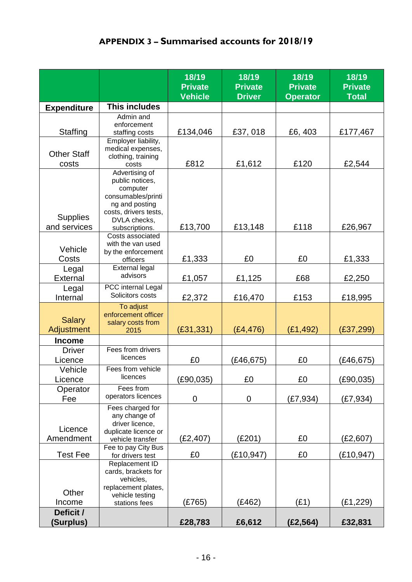# **APPENDIX 3 – Summarised accounts for 2018/19**

|                             |                                                                                                                                | 18/19<br><b>Private</b><br><b>Vehicle</b> | 18/19<br><b>Private</b><br><b>Driver</b> | 18/19<br><b>Private</b><br><b>Operator</b> | 18/19<br><b>Private</b><br><b>Total</b> |
|-----------------------------|--------------------------------------------------------------------------------------------------------------------------------|-------------------------------------------|------------------------------------------|--------------------------------------------|-----------------------------------------|
| <b>Expenditure</b>          | <b>This includes</b>                                                                                                           |                                           |                                          |                                            |                                         |
|                             | Admin and                                                                                                                      |                                           |                                          |                                            |                                         |
| Staffing                    | enforcement                                                                                                                    | £134,046                                  | £37,018                                  | £6,403                                     | £177,467                                |
|                             | staffing costs<br>Employer liability,                                                                                          |                                           |                                          |                                            |                                         |
| <b>Other Staff</b><br>costs | medical expenses,<br>clothing, training<br>costs                                                                               | £812                                      | £1,612                                   | £120                                       | £2,544                                  |
| <b>Supplies</b>             | Advertising of<br>public notices,<br>computer<br>consumables/printi<br>ng and posting<br>costs, drivers tests,<br>DVLA checks, |                                           |                                          |                                            |                                         |
| and services                | subscriptions.                                                                                                                 | £13,700                                   | £13,148                                  | £118                                       | £26,967                                 |
| Vehicle<br>Costs            | Costs associated<br>with the van used<br>by the enforcement<br>officers                                                        | £1,333                                    | £0                                       | £0                                         | £1,333                                  |
| Legal<br>External           | <b>External legal</b><br>advisors                                                                                              | £1,057                                    | £1,125                                   | £68                                        | £2,250                                  |
| Legal<br>Internal           | PCC internal Legal<br>Solicitors costs                                                                                         | £2,372                                    | £16,470                                  | £153                                       | £18,995                                 |
| <b>Salary</b><br>Adjustment | To adjust<br>enforcement officer<br>salary costs from<br>2015                                                                  | (E31, 331)                                | (E4, 476)                                | (E1, 492)                                  | (E37, 299)                              |
| <b>Income</b>               |                                                                                                                                |                                           |                                          |                                            |                                         |
| <b>Driver</b>               | Fees from drivers                                                                                                              |                                           |                                          |                                            |                                         |
| Licence                     | licences                                                                                                                       | £0                                        | (E46, 675)                               | £0                                         | (E46, 675)                              |
| Vehicle                     | Fees from vehicle                                                                                                              |                                           |                                          |                                            |                                         |
| Licence                     | licences                                                                                                                       | (E90, 035)                                | £0                                       | £0                                         | (E90, 035)                              |
| Operator<br>Fee             | Fees from<br>operators licences                                                                                                | 0                                         | 0                                        | (E7, 934)                                  | (E7, 934)                               |
| Licence<br>Amendment        | Fees charged for<br>any change of<br>driver licence,<br>duplicate licence or<br>vehicle transfer                               | (E2, 407)                                 | (E201)                                   | £0                                         | (E2,607)                                |
|                             | Fee to pay City Bus                                                                                                            |                                           |                                          |                                            |                                         |
| <b>Test Fee</b>             | for drivers test<br>Replacement ID                                                                                             | £0                                        | (E10, 947)                               | £0                                         | (E10, 947)                              |
| Other<br>Income             | cards, brackets for<br>vehicles,<br>replacement plates,<br>vehicle testing<br>stations fees                                    | (E765)                                    | (E462)                                   | (E1)                                       | (E1, 229)                               |
| Deficit /                   |                                                                                                                                |                                           |                                          |                                            |                                         |
| (Surplus)                   |                                                                                                                                | £28,783                                   | £6,612                                   | (E2, 564)                                  | £32,831                                 |